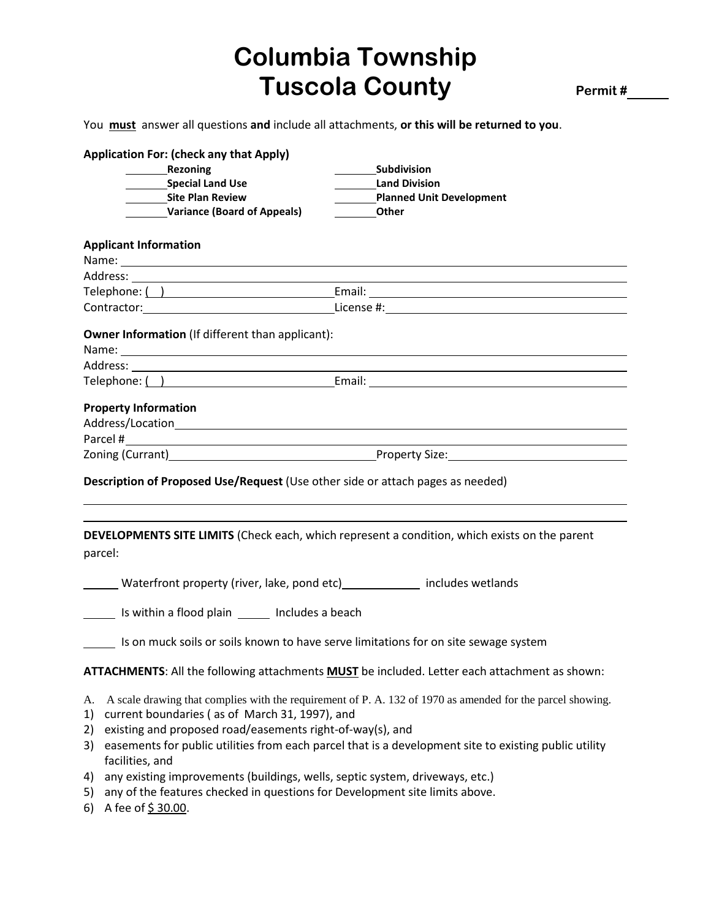## **Columbia Township Tuscola County** Permit #

You **must** answer all questions **and** include all attachments, **or this will be returned to you**.

|  | <b>Application For: (check any that Apply)</b>                                     |                                                                                                      |
|--|------------------------------------------------------------------------------------|------------------------------------------------------------------------------------------------------|
|  | Rezoning                                                                           | <b>Subdivision</b>                                                                                   |
|  | Special Land Use                                                                   | <b>Land Division</b>                                                                                 |
|  | Site Plan Review                                                                   | <b>Planned Unit Development</b>                                                                      |
|  | <b>Variance (Board of Appeals)</b>                                                 | <b>Other</b>                                                                                         |
|  | <b>Applicant Information</b>                                                       |                                                                                                      |
|  |                                                                                    |                                                                                                      |
|  |                                                                                    |                                                                                                      |
|  |                                                                                    |                                                                                                      |
|  |                                                                                    | Contractor: License #: License #:                                                                    |
|  | <b>Owner Information</b> (If different than applicant):                            |                                                                                                      |
|  |                                                                                    |                                                                                                      |
|  |                                                                                    |                                                                                                      |
|  | <b>Property Information</b>                                                        |                                                                                                      |
|  |                                                                                    |                                                                                                      |
|  |                                                                                    |                                                                                                      |
|  | Description of Proposed Use/Request (Use other side or attach pages as needed)     |                                                                                                      |
|  | parcel:                                                                            | <b>DEVELOPMENTS SITE LIMITS</b> (Check each, which represent a condition, which exists on the parent |
|  | Waterfront property (river, lake, pond etc) _____________ includes wetlands        |                                                                                                      |
|  | sample of the local plain subset of the local plane is a seach                     |                                                                                                      |
|  |                                                                                    |                                                                                                      |
|  | s on muck soils or soils known to have serve limitations for on site sewage system |                                                                                                      |
|  |                                                                                    | ATTACHMENTS: All the following attachments <b>MUST</b> be included. Letter each attachment as shown: |